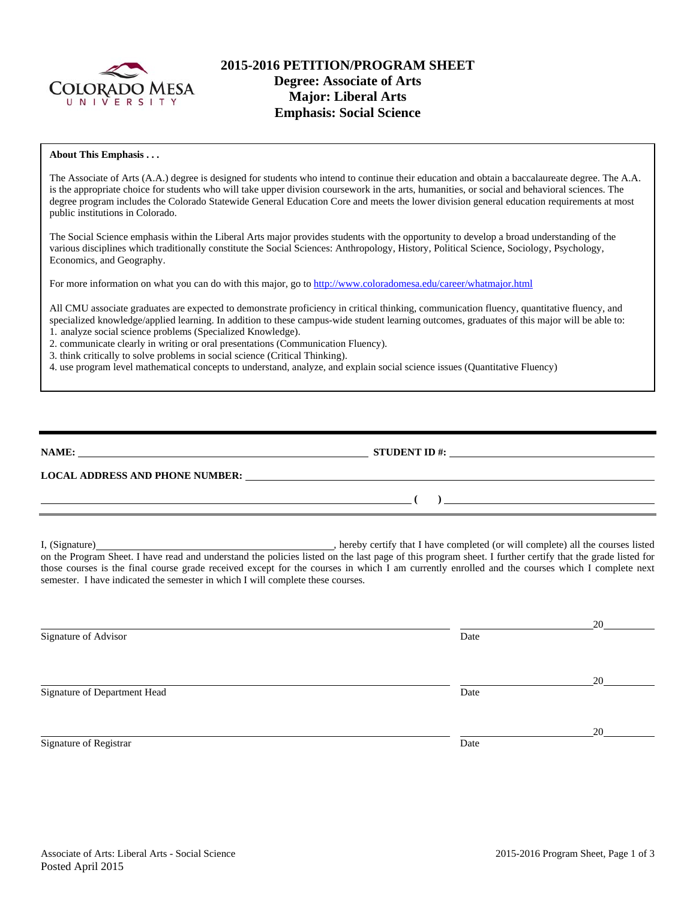

# **2015-2016 PETITION/PROGRAM SHEET Degree: Associate of Arts Major: Liberal Arts Emphasis: Social Science**

#### **About This Emphasis . . .**

The Associate of Arts (A.A.) degree is designed for students who intend to continue their education and obtain a baccalaureate degree. The A.A. is the appropriate choice for students who will take upper division coursework in the arts, humanities, or social and behavioral sciences. The degree program includes the Colorado Statewide General Education Core and meets the lower division general education requirements at most public institutions in Colorado.

The Social Science emphasis within the Liberal Arts major provides students with the opportunity to develop a broad understanding of the various disciplines which traditionally constitute the Social Sciences: Anthropology, History, Political Science, Sociology, Psychology, Economics, and Geography.

For more information on what you can do with this major, go to http://www.coloradomesa.edu/career/whatmajor.html

All CMU associate graduates are expected to demonstrate proficiency in critical thinking, communication fluency, quantitative fluency, and specialized knowledge/applied learning. In addition to these campus-wide student learning outcomes, graduates of this major will be able to: 1. analyze social science problems (Specialized Knowledge).

2. communicate clearly in writing or oral presentations (Communication Fluency).

3. think critically to solve problems in social science (Critical Thinking).

4. use program level mathematical concepts to understand, analyze, and explain social science issues (Quantitative Fluency)

| NAME:                                  | <b>STUDENT ID #:</b> |  |
|----------------------------------------|----------------------|--|
| <b>LOCAL ADDRESS AND PHONE NUMBER:</b> |                      |  |
|                                        |                      |  |

I, (Signature) , hereby certify that I have completed (or will complete) all the courses listed on the Program Sheet. I have read and understand the policies listed on the last page of this program sheet. I further certify that the grade listed for those courses is the final course grade received except for the courses in which I am currently enrolled and the courses which I complete next semester. I have indicated the semester in which I will complete these courses.

|      | 20 |
|------|----|
| Date |    |
|      |    |
|      | 20 |
| Date |    |
|      |    |
|      | 20 |
| Date |    |
|      |    |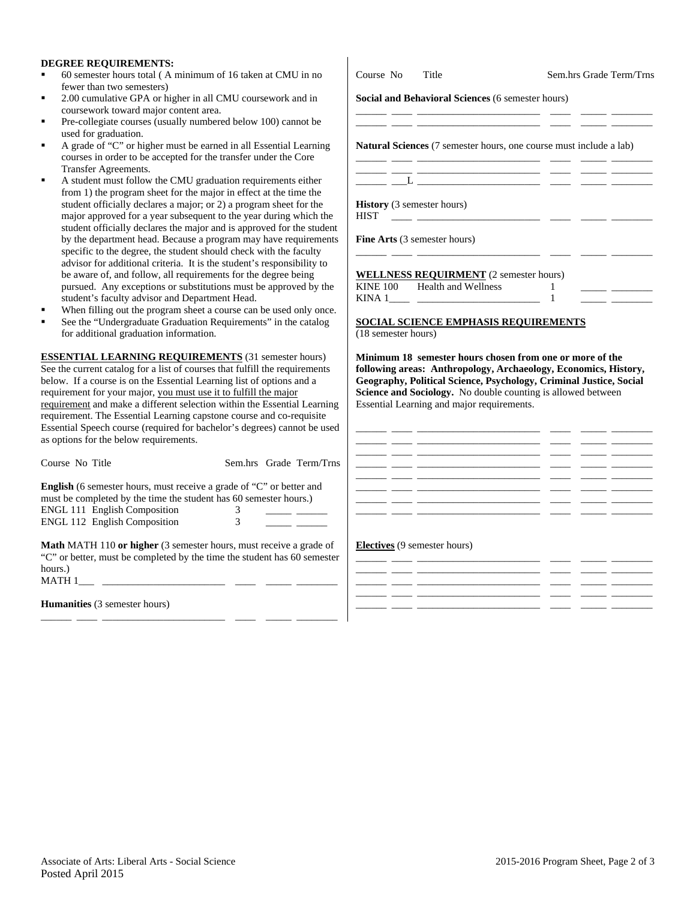### **DEGREE REQUIREMENTS:**

- 60 semester hours total (A minimum of 16 taken at CMU in no fewer than two semesters)
- 2.00 cumulative GPA or higher in all CMU coursework and in coursework toward major content area.
- Pre-collegiate courses (usually numbered below 100) cannot be used for graduation.
- A grade of "C" or higher must be earned in all Essential Learning courses in order to be accepted for the transfer under the Core Transfer Agreements.
- A student must follow the CMU graduation requirements either from 1) the program sheet for the major in effect at the time the student officially declares a major; or 2) a program sheet for the major approved for a year subsequent to the year during which student officially declares the major and is approved for the student by the department head. Because a program may have requirent specific to the degree, the student should check with the faculty advisor for additional criteria. It is the student's responsibility be aware of, and follow, all requirements for the degree being pursued. Any exceptions or substitutions must be approved by student's faculty advisor and Department Head.
- When filling out the program sheet a course can be used only on
- See the "Undergraduate Graduation Requirements" in the catal for additional graduation information.

**ESSENTIAL LEARNING REQUIREMENTS** (31 semester hour See the current catalog for a list of courses that fulfill the requireme below. If a course is on the Essential Learning list of options and a requirement for your major, you must use it to fulfill the major requirement and make a different selection within the Essential Learning requirement. The Essential Learning capstone course and co-requisi Essential Speech course (required for bachelor's degrees) cannot be as options for the below requirements.

| Course No Title                                                                                                                                  |   |  | Sem.hrs Grade Term/Trns |  |
|--------------------------------------------------------------------------------------------------------------------------------------------------|---|--|-------------------------|--|
| <b>English</b> (6 semester hours, must receive a grade of "C" or better and<br>must be completed by the time the student has 60 semester hours.) |   |  |                         |  |
| <b>ENGL 111 English Composition</b>                                                                                                              | 3 |  |                         |  |
| <b>ENGL 112 English Composition</b>                                                                                                              |   |  |                         |  |
| <b>Math MATH 110 or higher</b> (3 semester hours, must receive a grade of                                                                        |   |  |                         |  |

"C" or better, must be completed by the time the student has 60 semester hours.)  $MATH 1$ 

\_\_\_\_\_\_ \_\_\_\_ \_\_\_\_\_\_\_\_\_\_\_\_\_\_\_\_\_\_\_\_\_\_\_\_ \_\_\_\_ \_\_\_\_\_ \_\_\_\_\_\_\_\_

**Humanities** (3 semester hours)

| Course No Title     |                                                                                                                                                                                                                                                                           | Sem.hrs Grade Term/Trns                                                                                                            |  |
|---------------------|---------------------------------------------------------------------------------------------------------------------------------------------------------------------------------------------------------------------------------------------------------------------------|------------------------------------------------------------------------------------------------------------------------------------|--|
|                     | Social and Behavioral Sciences (6 semester hours)                                                                                                                                                                                                                         |                                                                                                                                    |  |
|                     |                                                                                                                                                                                                                                                                           | <b>Natural Sciences</b> (7 semester hours, one course must include a lab)                                                          |  |
|                     | <u> 1988 - Jan Barnett, fransk politik (d. 1888)</u>                                                                                                                                                                                                                      |                                                                                                                                    |  |
| <b>HIST</b>         | <b>History</b> (3 semester hours)<br><u> 1990 - John Stein, mars and de Branch and de Branch and de Branch and de Branch and de Branch and de Branch and de Branch and de Branch and de Branch and de Branch and de Branch and de Branch and de Branch and de Branch </u> |                                                                                                                                    |  |
|                     | Fine Arts (3 semester hours)                                                                                                                                                                                                                                              |                                                                                                                                    |  |
|                     | <b>WELLNESS REQUIRMENT</b> (2 semester hours)                                                                                                                                                                                                                             |                                                                                                                                    |  |
|                     | KINE 100 Health and Wellness                                                                                                                                                                                                                                              | 1<br>$\mathbf{1}$                                                                                                                  |  |
|                     |                                                                                                                                                                                                                                                                           | <b>SOCIAL SCIENCE EMPHASIS REQUIREMENTS</b>                                                                                        |  |
| (18 semester hours) |                                                                                                                                                                                                                                                                           |                                                                                                                                    |  |
|                     |                                                                                                                                                                                                                                                                           | Minimum 18 semester hours chosen from one or more of the<br>following areas: Anthropology, Archaeology, Economics, History,        |  |
|                     |                                                                                                                                                                                                                                                                           | Geography, Political Science, Psychology, Criminal Justice, Social<br>Science and Sociology. No double counting is allowed between |  |
|                     | Essential Learning and major requirements.                                                                                                                                                                                                                                |                                                                                                                                    |  |
|                     |                                                                                                                                                                                                                                                                           |                                                                                                                                    |  |

#### **Electives** (9 semester hours)

|  | <u> 1989 - Johann John Harry Harry Harry Harry Harry Harry Harry Harry Harry Harry Harry Harry Harry Harry Harry H</u> | _____ |  |
|--|------------------------------------------------------------------------------------------------------------------------|-------|--|
|  |                                                                                                                        | _____ |  |
|  |                                                                                                                        |       |  |